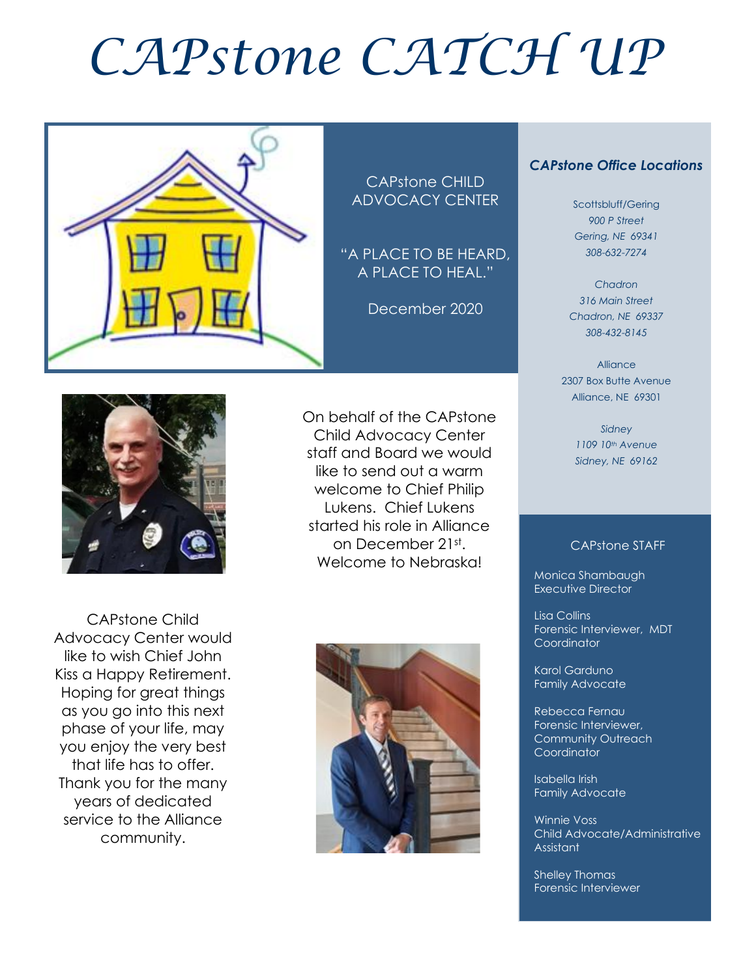# *CAPstone CATCH UP*



CAPstone CHILD ADVOCACY CENTER

"A PLACE TO BE HEARD, A PLACE TO HEAL."

December 2020

On behalf of the CAPstone Child Advocacy Center staff and Board we would like to send out a warm welcome to Chief Philip Lukens. Chief Lukens started his role in Alliance on December 21st . Welcome to Nebraska!



CAPstone Child Advocacy Center would like to wish Chief John Kiss a Happy Retirement. Hoping for great things as you go into this next phase of your life, may you enjoy the very best that life has to offer. Thank you for the many years of dedicated service to the Alliance community.



#### *CAPstone Office Locations*

Scottsbluff/Gering *900 P Street Gering, NE 69341 308-632-7274*

*Chadron 316 Main Street Chadron, NE 69337 308-432-8145*

Alliance 2307 Box Butte Avenue Alliance, NE 69301

> *Sidney 1109 10th Avenue Sidney, NE 69162*

#### CAPstone STAFF

Monica Shambaugh Executive Director

Lisa Collins Forensic Interviewer, MDT **Coordinator** 

Karol Garduno Family Advocate

Rebecca Fernau Forensic Interviewer, Community Outreach **Coordinator** 

Isabella Irish Family Advocate

Winnie Voss Child Advocate/Administrative Assistant

Shelley Thomas Forensic Interviewer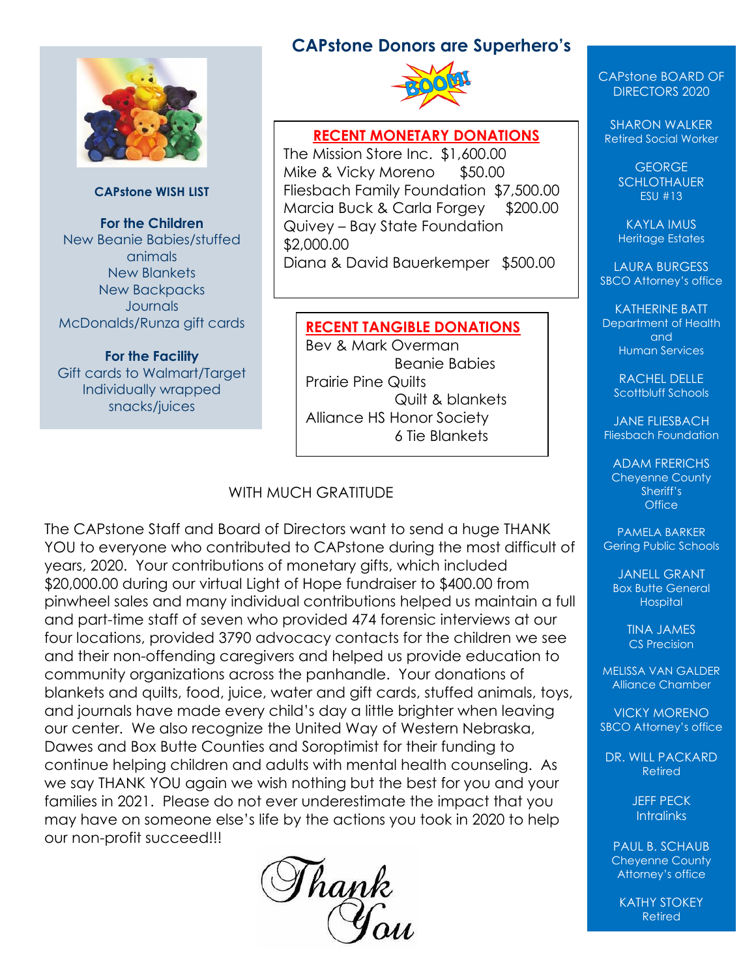

#### **CAPstone WISH LIST**

**For the Children** New Beanie Babies/stuffed animals New Blankets New Backpacks **Journals** McDonalds/Runza gift cards

**For the Facility** Gift cards to Walmart/Target Individually wrapped snacks/juices

#### **CAPstone Donors are Superhero's**



#### **RECENT MONETARY DONATIONS**

The Mission Store Inc. \$1,600.00 Mike & Vicky Moreno \$50.00 Fliesbach Family Foundation \$7,500.00 Marcia Buck & Carla Forgey \$200.00 Quivey – Bay State Foundation \$2,000.00 Diana & David Bauerkemper \$500.00

#### **RECENT TANGIBLE DONATIONS**

Bev & Mark Overman Beanie Babies Prairie Pine Quilts Quilt & blankets Alliance HS Honor Society 6 Tie Blankets

#### WITH MUCH GRATITUDE

The CAPstone Staff and Board of Directors want to send a huge THANK YOU to everyone who contributed to CAPstone during the most difficult of years, 2020. Your contributions of monetary gifts, which included \$20,000.00 during our virtual Light of Hope fundraiser to \$400.00 from pinwheel sales and many individual contributions helped us maintain a full and part-time staff of seven who provided 474 forensic interviews at our four locations, provided 3790 advocacy contacts for the children we see and their non-offending caregivers and helped us provide education to community organizations across the panhandle. Your donations of blankets and quilts, food, juice, water and gift cards, stuffed animals, toys, and journals have made every child's day a little brighter when leaving our center. We also recognize the United Way of Western Nebraska, Dawes and Box Butte Counties and Soroptimist for their funding to continue helping children and adults with mental health counseling. As we say THANK YOU again we wish nothing but the best for you and your families in 2021. Please do not ever underestimate the impact that you may have on someone else's life by the actions you took in 2020 to help our non-profit succeed!!!



#### CAPstone BOARD OF DIRECTORS 2020

SHARON WALKER Retired Social Worker

> **GEORGE SCHLOTHAUER** ESU #13

KAYLA IMUS Heritage Estates

LAURA BURGESS SBCO Attorney's office

KATHERINE BATT Department of Health and Human Services

RACHEL DELLE Scottbluff Schools

JANE FLIESBACH Fliesbach Foundation

ADAM FRERICHS Cheyenne County Sheriff's **Office** 

PAMELA BARKER Gering Public Schools

JANFIL GRANT Box Butte General **Hospital** 

> TINA JAMES CS Precision

MELISSA VAN GALDER Alliance Chamber

VICKY MORENO SBCO Attorney's office

DR. WILL PACKARD Retired

> JEFF PECK **Intralinks**

PAUL B. SCHAUB Cheyenne County Attorney's office

KATHY STOKEY Retired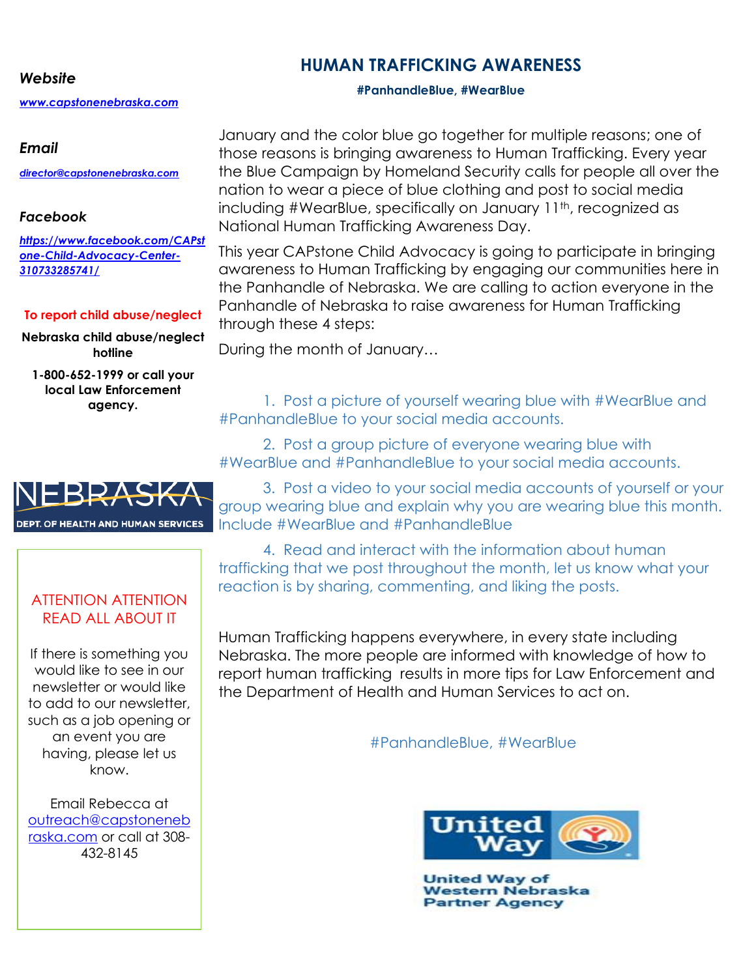#### *Website*

*[www.capstonenebraska.com](http://www.capstonenebraska.com/)*

#### *Email*

*[director@capstonenebraska.com](mailto:director@capstonenebraska.com)*

#### *Facebook*

*[https://www.facebook.com/CAPst](https://www.facebook.com/CAPstone-Child-Advocacy-Center-310733285741/) [one-Child-Advocacy-Center-](https://www.facebook.com/CAPstone-Child-Advocacy-Center-310733285741/)[310733285741/](https://www.facebook.com/CAPstone-Child-Advocacy-Center-310733285741/)*

#### **To report child abuse/neglect**

**Nebraska child abuse/neglect hotline**

**1-800-652-1999 or call your local Law Enforcement agency.**



#### ATTENTION ATTENTION READ ALL ABOUT IT

If there is something you would like to see in our newsletter or would like to add to our newsletter, such as a job opening or an event you are having, please let us know.

Email Rebecca at [outreach@capstoneneb](mailto:outreach@capstonenebraska.com) [raska.com](mailto:outreach@capstonenebraska.com) or call at 308- 432-8145

Page 2

January and the color blue go together for multiple reasons; one of those reasons is bringing awareness to Human Trafficking. Every year the Blue Campaign by Homeland Security calls for people all over the nation to wear a piece of blue clothing and post to social media including #WearBlue, specifically on January 11th, recognized as National Human Trafficking Awareness Day.

This year CAPstone Child Advocacy is going to participate in bringing awareness to Human Trafficking by engaging our communities here in the Panhandle of Nebraska. We are calling to action everyone in the Panhandle of Nebraska to raise awareness for Human Trafficking through these 4 steps:

During the month of January…

1. Post a picture of yourself wearing blue with #WearBlue and #PanhandleBlue to your social media accounts.

2. Post a group picture of everyone wearing blue with #WearBlue and #PanhandleBlue to your social media accounts.

3. Post a video to your social media accounts of yourself or your group wearing blue and explain why you are wearing blue this month. Include #WearBlue and #PanhandleBlue

4. Read and interact with the information about human trafficking that we post throughout the month, let us know what your reaction is by sharing, commenting, and liking the posts.

Human Trafficking happens everywhere, in every state including Nebraska. The more people are informed with knowledge of how to report human trafficking results in more tips for Law Enforcement and the Department of Health and Human Services to act on.

#PanhandleBlue, #WearBlue



**United Way of** Western Nebraska **Partner Agency** 

### **HUMAN TRAFFICKING AWARENESS**

**#PanhandleBlue, #WearBlue**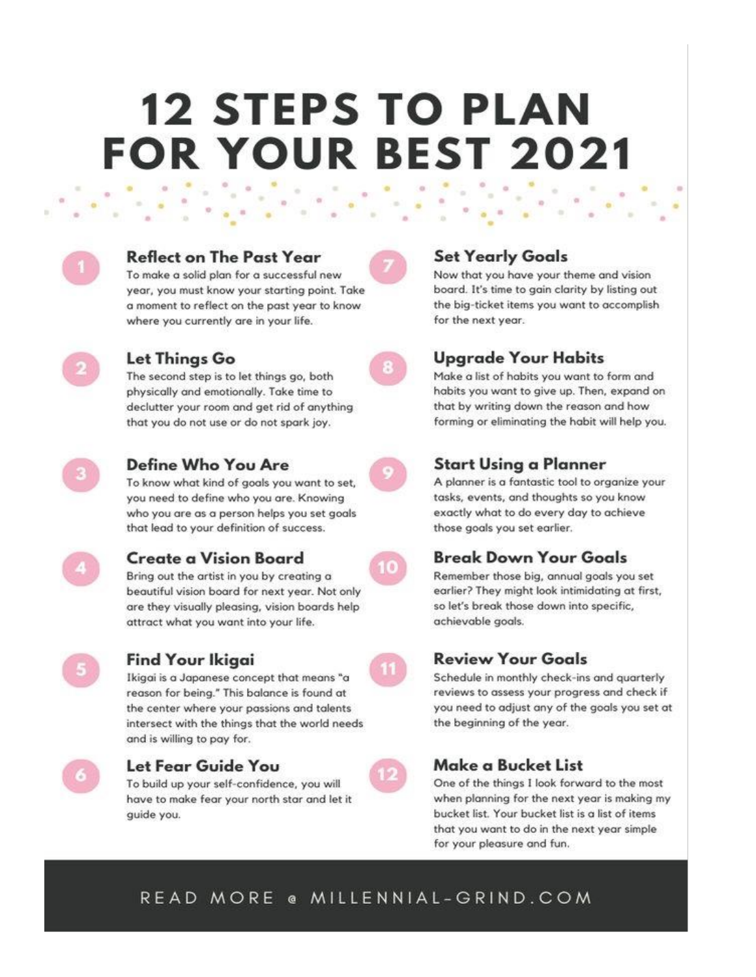# **12 STEPS TO PLAN FOR YOUR BEST 2021**

| J |  |
|---|--|
|   |  |
|   |  |

#### **Reflect on The Past Year**

To make a solid plan for a successful new year, you must know your starting point. Take a moment to reflect on the past year to know where you currently are in your life.



#### Let Things Go

The second step is to let things go, both physically and emotionally. Take time to declutter your room and get rid of anything that you do not use or do not spark joy.



#### Define Who You Are

To know what kind of goals you want to set, you need to define who you are. Knowing who you are as a person helps you set goals that lead to your definition of success.



#### **Create a Vision Board**

Bring out the artist in you by creating a beautiful vision board for next year. Not only are they visually pleasing, vision boards help attract what you want into your life.



#### Find Your Ikigai

Ikigai is a Japanese concept that means "a reason for being." This balance is found at the center where your passions and talents intersect with the things that the world needs and is willing to pay for.



#### Let Fear Guide You

To build up your self-confidence, you will have to make fear your north star and let it quide you.



#### **Set Yearly Goals**

Now that you have your theme and vision board. It's time to gain clarity by listing out the big-ticket items you want to accomplish for the next year.



#### Upgrade Your Habits

Make a list of habits you want to form and habits you want to give up. Then, expand on that by writing down the reason and how forming or eliminating the habit will help you.



#### **Start Using a Planner**

A planner is a fantastic tool to organize your tasks, events, and thoughts so you know exactly what to do every day to achieve those goals you set earlier.



Remember those big, annual goals you set earlier? They might look intimidating at first, so let's break those down into specific, achievable goals.

#### **Review Your Goals**

Schedule in monthly check-ins and quarterly reviews to assess your progress and check if you need to adjust any of the goals you set at the beginning of the year.

### Make a Bucket List

One of the things I look forward to the most when planning for the next year is making my bucket list. Your bucket list is a list of items that you want to do in the next year simple for your pleasure and fun.

### READ MORE @ MILLENNIAL-GRIND.COM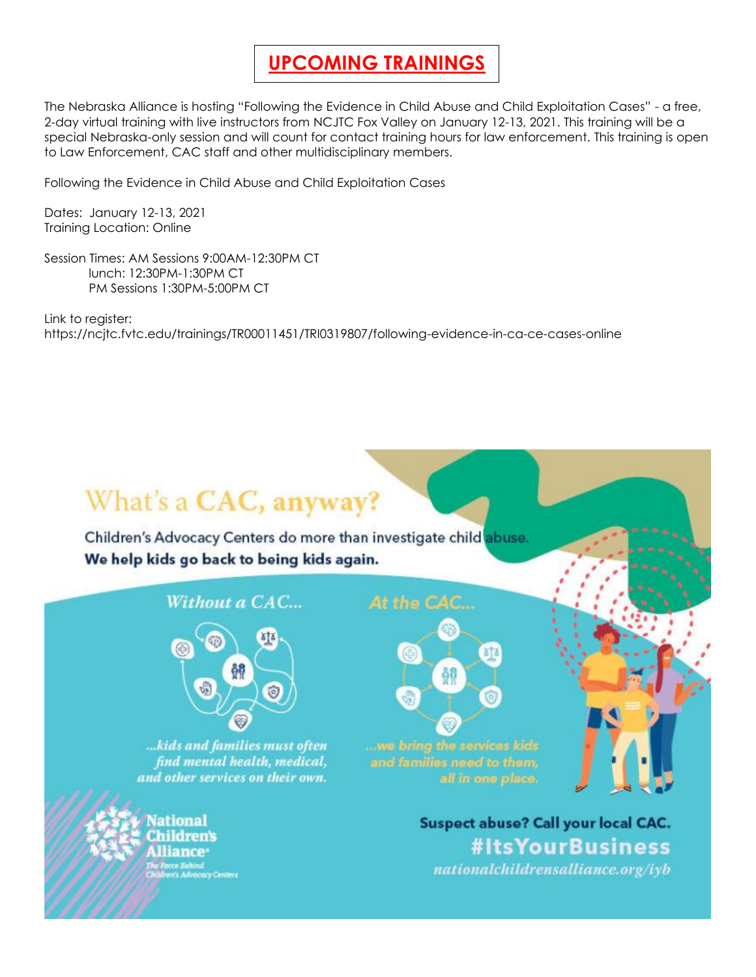### **UPCOMING TRAININGS**

The Nebraska Alliance is hosting "Following the Evidence in Child Abuse and Child Exploitation Cases" - a free, 2-day virtual training with live instructors from NCJTC Fox Valley on January 12-13, 2021. This training will be a special Nebraska-only session and will count for contact training hours for law enforcement. This training is open to Law Enforcement, CAC staff and other multidisciplinary members.

Following the Evidence in Child Abuse and Child Exploitation Cases

Dates: January 12-13, 2021 Training Location: Online

Session Times: AM Sessions 9:00AM-12:30PM CT lunch: 12:30PM-1:30PM CT PM Sessions 1:30PM-5:00PM CT

Link to register: https://ncjtc.fvtc.edu/trainings/TR00011451/TRI0319807/following-evidence-in-ca-ce-cases-online

# What's a CAC, anyway?

Children's Advocacy Centers do more than investigate child abuse. We help kids go back to being kids again.

#### Without a CAC...



... kids and families must often find mental health, medical, and other services on their own.

ational dren's liance<sup>.</sup> rce Behind<br>m's Advocacy Centers åê

At the CAC...

**Suspect abuse? Call your local CAC.** #ItsYourBusiness nationalchildrensalliance.org/iyb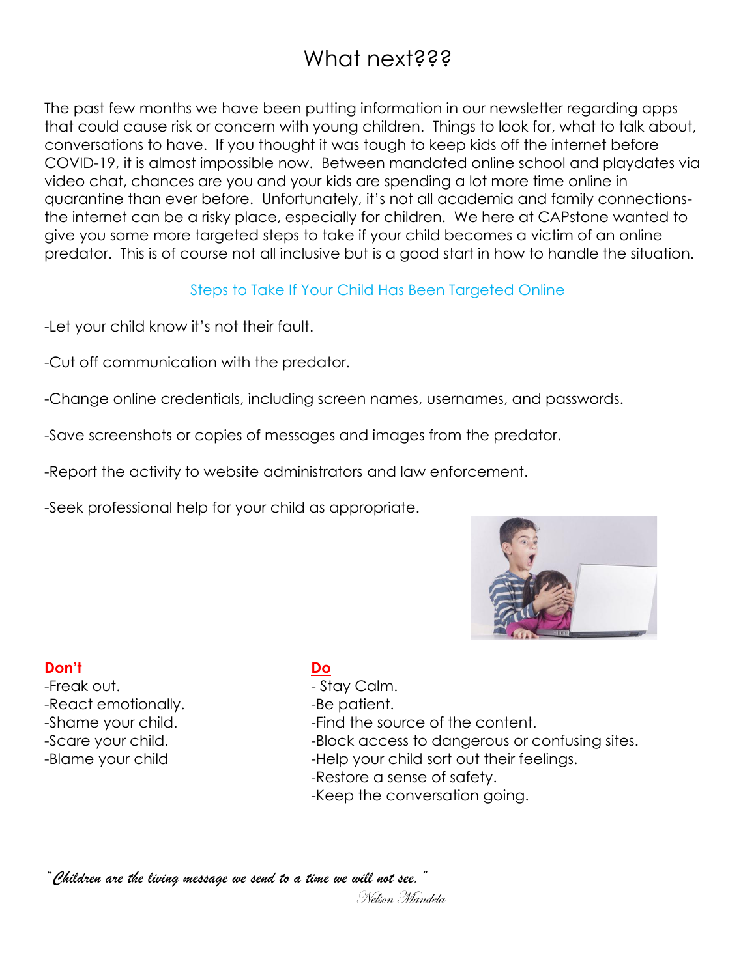## What next???

The past few months we have been putting information in our newsletter regarding apps that could cause risk or concern with young children. Things to look for, what to talk about, conversations to have. If you thought it was tough to keep kids off the internet before COVID-19, it is almost impossible now. Between mandated online school and playdates via video chat, chances are you and your kids are spending a lot more time online in quarantine than ever before. Unfortunately, it's not all academia and family connectionsthe internet can be a risky place, especially for children. We here at CAPstone wanted to give you some more targeted steps to take if your child becomes a victim of an online predator. This is of course not all inclusive but is a good start in how to handle the situation.

#### Steps to Take If Your Child Has Been Targeted Online

-Let your child know it's not their fault.

- -Cut off communication with the predator.
- -Change online credentials, including screen names, usernames, and passwords.
- -Save screenshots or copies of messages and images from the predator.
- -Report the activity to website administrators and law enforcement.

-Seek professional help for your child as appropriate.



#### **Don't Do**

-Freak out. **In the set of the Stay Calm.** -React emotionally. The serient.

-Shame your child.  $\blacksquare$  -Find the source of the content. -Scare your child.  $\qquad \qquad$  -Block access to dangerous or confusing sites. -Blame your child  $-$ Help your child sort out their feelings. -Restore a sense of safety. -Keep the conversation going.

*"Children are the living message we send to a time we will not see."*

Nelson Mandela